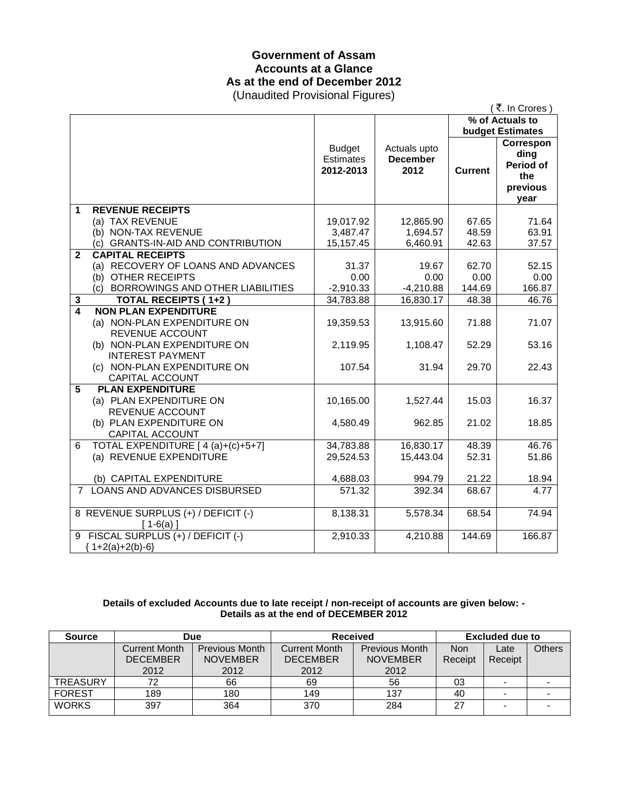# **Government of Assam Accounts at a Glance As at the end of December 2012**

(Unaudited Provisional Figures)

|                         | $\sim$ na a ano a Toriononia. Tigaroo j                                                                                    |                                         |                                         |                | (₹. In Crores)                                            |
|-------------------------|----------------------------------------------------------------------------------------------------------------------------|-----------------------------------------|-----------------------------------------|----------------|-----------------------------------------------------------|
|                         |                                                                                                                            | % of Actuals to                         |                                         |                |                                                           |
|                         |                                                                                                                            |                                         |                                         |                | <b>budget Estimates</b>                                   |
|                         |                                                                                                                            | <b>Budget</b><br>Estimates<br>2012-2013 | Actuals upto<br><b>December</b><br>2012 | <b>Current</b> | Correspon<br>ding<br>Period of<br>the<br>previous<br>year |
| 1                       | <b>REVENUE RECEIPTS</b>                                                                                                    |                                         |                                         |                |                                                           |
|                         | (a) TAX REVENUE                                                                                                            | 19,017.92                               | 12,865.90                               | 67.65          | 71.64                                                     |
|                         | (b) NON-TAX REVENUE                                                                                                        | 3,487.47                                | 1,694.57                                | 48.59          | 63.91                                                     |
|                         | (c) GRANTS-IN-AID AND CONTRIBUTION                                                                                         | 15,157.45                               | 6,460.91                                | 42.63          | 37.57                                                     |
| $\mathbf{2}$            | <b>CAPITAL RECEIPTS</b>                                                                                                    |                                         |                                         |                |                                                           |
|                         | (a) RECOVERY OF LOANS AND ADVANCES                                                                                         | 31.37                                   | 19.67                                   | 62.70          | 52.15                                                     |
|                         | (b) OTHER RECEIPTS                                                                                                         | 0.00                                    | 0.00                                    | 0.00           | 0.00                                                      |
|                         | (c) BORROWINGS AND OTHER LIABILITIES                                                                                       | $-2,910.33$                             | $-4,210.88$                             | 144.69         | 166.87                                                    |
| 3                       | <b>TOTAL RECEIPTS (1+2)</b>                                                                                                | 34,783.88                               | 16,830.17                               | 48.38          | 46.76                                                     |
| $\overline{\mathbf{4}}$ | <b>NON PLAN EXPENDITURE</b><br>(a) NON-PLAN EXPENDITURE ON<br>REVENUE ACCOUNT                                              | 19,359.53                               | 13,915.60                               | 71.88          | 71.07                                                     |
|                         | (b) NON-PLAN EXPENDITURE ON<br><b>INTEREST PAYMENT</b><br>(c) NON-PLAN EXPENDITURE ON<br><b>CAPITAL ACCOUNT</b>            | 2,119.95<br>107.54                      | 1,108.47<br>31.94                       | 52.29<br>29.70 | 53.16<br>22.43                                            |
| 5                       | <b>PLAN EXPENDITURE</b><br>(a) PLAN EXPENDITURE ON<br><b>REVENUE ACCOUNT</b><br>(b) PLAN EXPENDITURE ON<br>CAPITAL ACCOUNT | 10,165.00<br>4,580.49                   | 1,527.44<br>962.85                      | 15.03<br>21.02 | 16.37<br>18.85                                            |
| 6                       | TOTAL EXPENDITURE [ 4 (a)+(c)+5+7]<br>(a) REVENUE EXPENDITURE                                                              | 34,783.88<br>29,524.53                  | 16,830.17<br>15,443.04                  | 48.39<br>52.31 | 46.76<br>51.86                                            |
|                         | (b) CAPITAL EXPENDITURE                                                                                                    | 4,688.03                                | 994.79                                  | 21.22          | 18.94                                                     |
| $7^{\circ}$             | <b>LOANS AND ADVANCES DISBURSED</b>                                                                                        | 571.32                                  | 392.34                                  | 68.67          | 4.77                                                      |
|                         | 8 REVENUE SURPLUS (+) / DEFICIT (-)<br>$[1-6(a)]$                                                                          | 8,138.31                                | 5,578.34                                | 68.54          | 74.94                                                     |
|                         | 9 FISCAL SURPLUS (+) / DEFICIT (-)<br>${1+2(a)+2(b)-6}$                                                                    | 2,910.33                                | 4,210.88                                | 144.69         | 166.87                                                    |

### **Details of excluded Accounts due to late receipt / non-receipt of accounts are given below: - Details as at the end of DECEMBER 2012**

| <b>Source</b>   | Due                  |                       | <b>Received</b> |                       | Excluded due to |                          |               |
|-----------------|----------------------|-----------------------|-----------------|-----------------------|-----------------|--------------------------|---------------|
|                 | <b>Current Month</b> | <b>Previous Month</b> | Current Month   | <b>Previous Month</b> | <b>Non</b>      | Late                     | <b>Others</b> |
|                 | <b>DECEMBER</b>      | <b>NOVEMBER</b>       | <b>DECEMBER</b> | <b>NOVEMBER</b>       | Receipt         | Receipt                  |               |
|                 | 2012                 | 2012                  | 2012            | 2012                  |                 |                          |               |
| <b>TREASURY</b> | 72                   | 66                    | 69              | 56                    | 03              | $\overline{\phantom{a}}$ |               |
| <b>FOREST</b>   | 189                  | 180                   | 149             | 137                   | 40              | -                        |               |
| <b>WORKS</b>    | 397                  | 364                   | 370             | 284                   | 27              |                          |               |
|                 |                      |                       |                 |                       |                 |                          |               |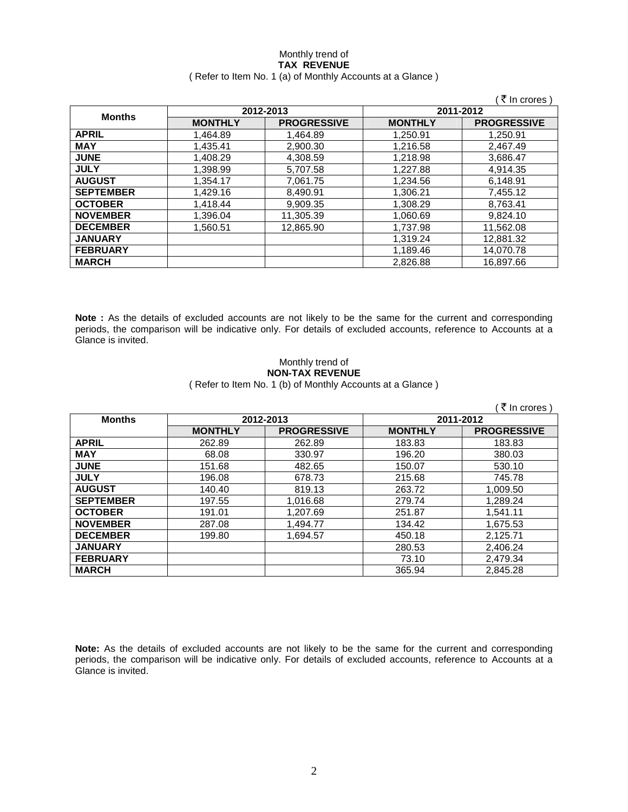### Monthly trend of **TAX REVENUE**  ( Refer to Item No. 1 (a) of Monthly Accounts at a Glance )

|                  |                |                    |                | ₹ In crores)       |
|------------------|----------------|--------------------|----------------|--------------------|
|                  |                | 2012-2013          |                | 2011-2012          |
| <b>Months</b>    | <b>MONTHLY</b> | <b>PROGRESSIVE</b> | <b>MONTHLY</b> | <b>PROGRESSIVE</b> |
| <b>APRIL</b>     | 1,464.89       | 1.464.89           | 1,250.91       | 1.250.91           |
| <b>MAY</b>       | 1,435.41       | 2,900.30           | 1,216.58       | 2,467.49           |
| <b>JUNE</b>      | 1,408.29       | 4,308.59           | 1,218.98       | 3,686.47           |
| <b>JULY</b>      | 1,398.99       | 5,707.58           | 1.227.88       | 4,914.35           |
| <b>AUGUST</b>    | 1.354.17       | 7,061.75           | 1,234.56       | 6,148.91           |
| <b>SEPTEMBER</b> | 1,429.16       | 8,490.91           | 1,306.21       | 7,455.12           |
| <b>OCTOBER</b>   | 1.418.44       | 9,909.35           | 1,308.29       | 8.763.41           |
| <b>NOVEMBER</b>  | 1,396.04       | 11,305.39          | 1,060.69       | 9,824.10           |
| <b>DECEMBER</b>  | 1,560.51       | 12,865.90          | 1,737.98       | 11,562.08          |
| <b>JANUARY</b>   |                |                    | 1,319.24       | 12,881.32          |
| <b>FEBRUARY</b>  |                |                    | 1,189.46       | 14,070.78          |
| <b>MARCH</b>     |                |                    | 2,826.88       | 16,897.66          |

**Note :** As the details of excluded accounts are not likely to be the same for the current and corresponding periods, the comparison will be indicative only. For details of excluded accounts, reference to Accounts at a Glance is invited.

## Monthly trend of **NON-TAX REVENUE**

( Refer to Item No. 1 (b) of Monthly Accounts at a Glance )

|                  |                |                    |                | ₹ In crores        |
|------------------|----------------|--------------------|----------------|--------------------|
| <b>Months</b>    |                | 2012-2013          |                | 2011-2012          |
|                  | <b>MONTHLY</b> | <b>PROGRESSIVE</b> | <b>MONTHLY</b> | <b>PROGRESSIVE</b> |
| <b>APRIL</b>     | 262.89         | 262.89             | 183.83         | 183.83             |
| <b>MAY</b>       | 68.08          | 330.97             | 196.20         | 380.03             |
| <b>JUNE</b>      | 151.68         | 482.65             | 150.07         | 530.10             |
| <b>JULY</b>      | 196.08         | 678.73             | 215.68         | 745.78             |
| <b>AUGUST</b>    | 140.40         | 819.13             | 263.72         | 1.009.50           |
| <b>SEPTEMBER</b> | 197.55         | 1,016.68           | 279.74         | 1,289.24           |
| <b>OCTOBER</b>   | 191.01         | 1,207.69           | 251.87         | 1,541.11           |
| <b>NOVEMBER</b>  | 287.08         | 1,494.77           | 134.42         | 1,675.53           |
| <b>DECEMBER</b>  | 199.80         | 1,694.57           | 450.18         | 2,125.71           |
| <b>JANUARY</b>   |                |                    | 280.53         | 2,406.24           |
| <b>FEBRUARY</b>  |                |                    | 73.10          | 2,479.34           |
| <b>MARCH</b>     |                |                    | 365.94         | 2,845.28           |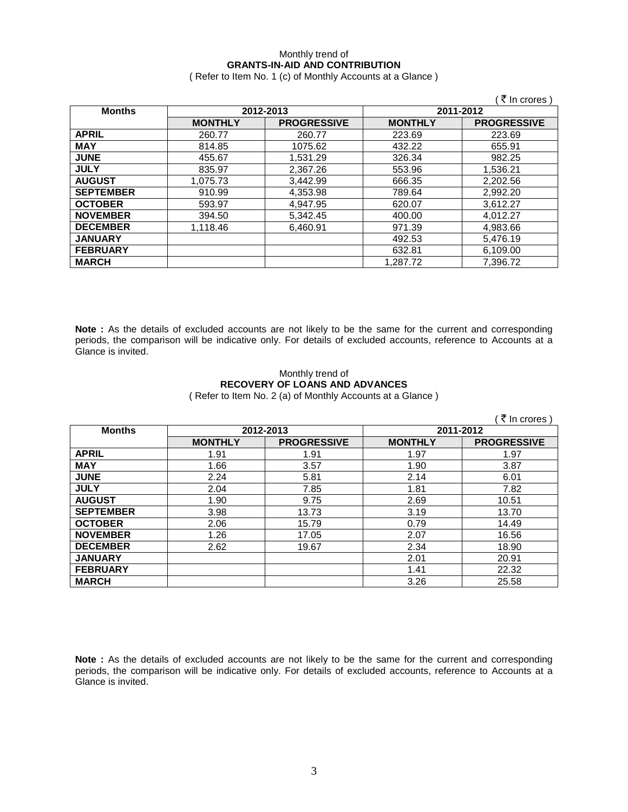## Monthly trend of **GRANTS-IN-AID AND CONTRIBUTION**

( Refer to Item No. 1 (c) of Monthly Accounts at a Glance )

|                  |                |                    |                | ₹ In crores)       |
|------------------|----------------|--------------------|----------------|--------------------|
| <b>Months</b>    |                | 2012-2013          |                | 2011-2012          |
|                  | <b>MONTHLY</b> | <b>PROGRESSIVE</b> | <b>MONTHLY</b> | <b>PROGRESSIVE</b> |
| <b>APRIL</b>     | 260.77         | 260.77             | 223.69         | 223.69             |
| <b>MAY</b>       | 814.85         | 1075.62            | 432.22         | 655.91             |
| <b>JUNE</b>      | 455.67         | 1,531.29           | 326.34         | 982.25             |
| <b>JULY</b>      | 835.97         | 2,367.26           | 553.96         | 1,536.21           |
| <b>AUGUST</b>    | 1,075.73       | 3,442.99           | 666.35         | 2,202.56           |
| <b>SEPTEMBER</b> | 910.99         | 4,353.98           | 789.64         | 2,992.20           |
| <b>OCTOBER</b>   | 593.97         | 4.947.95           | 620.07         | 3.612.27           |
| <b>NOVEMBER</b>  | 394.50         | 5,342.45           | 400.00         | 4.012.27           |
| <b>DECEMBER</b>  | 1,118.46       | 6,460.91           | 971.39         | 4,983.66           |
| <b>JANUARY</b>   |                |                    | 492.53         | 5,476.19           |
| <b>FEBRUARY</b>  |                |                    | 632.81         | 6,109.00           |
| <b>MARCH</b>     |                |                    | 1.287.72       | 7.396.72           |

**Note :** As the details of excluded accounts are not likely to be the same for the current and corresponding periods, the comparison will be indicative only. For details of excluded accounts, reference to Accounts at a Glance is invited.

### Monthly trend of **RECOVERY OF LOANS AND ADVANCES**  ( Refer to Item No. 2 (a) of Monthly Accounts at a Glance )

|                  |                |                    |                | ₹ In crores        |
|------------------|----------------|--------------------|----------------|--------------------|
| <b>Months</b>    | 2012-2013      |                    | 2011-2012      |                    |
|                  | <b>MONTHLY</b> | <b>PROGRESSIVE</b> | <b>MONTHLY</b> | <b>PROGRESSIVE</b> |
| <b>APRIL</b>     | 1.91           | 1.91               | 1.97           | 1.97               |
| <b>MAY</b>       | 1.66           | 3.57               | 1.90           | 3.87               |
| <b>JUNE</b>      | 2.24           | 5.81               | 2.14           | 6.01               |
| <b>JULY</b>      | 2.04           | 7.85               | 1.81           | 7.82               |
| <b>AUGUST</b>    | 1.90           | 9.75               | 2.69           | 10.51              |
| <b>SEPTEMBER</b> | 3.98           | 13.73              | 3.19           | 13.70              |
| <b>OCTOBER</b>   | 2.06           | 15.79              | 0.79           | 14.49              |
| <b>NOVEMBER</b>  | 1.26           | 17.05              | 2.07           | 16.56              |
| <b>DECEMBER</b>  | 2.62           | 19.67              | 2.34           | 18.90              |
| <b>JANUARY</b>   |                |                    | 2.01           | 20.91              |
| <b>FEBRUARY</b>  |                |                    | 1.41           | 22.32              |
| <b>MARCH</b>     |                |                    | 3.26           | 25.58              |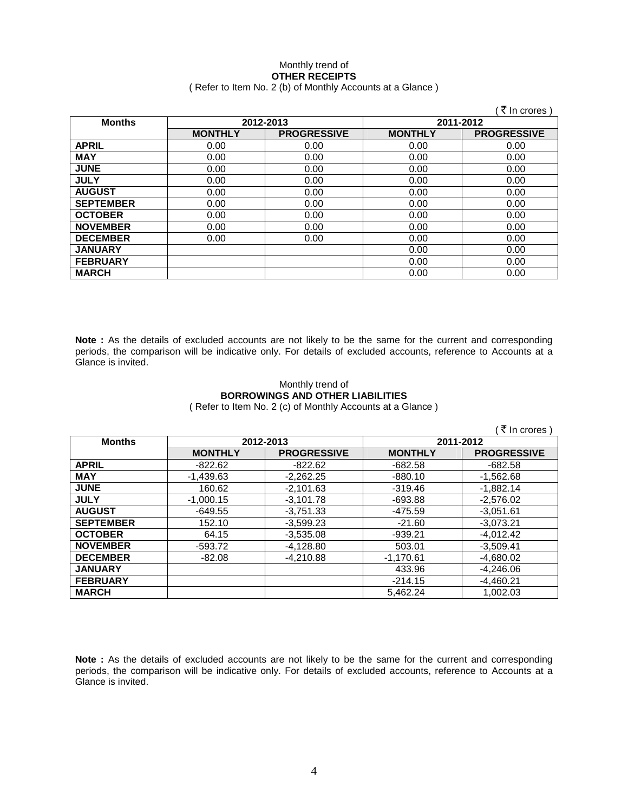### Monthly trend of **OTHER RECEIPTS**  ( Refer to Item No. 2 (b) of Monthly Accounts at a Glance )

|                  |                |                    |                | ₹ In crores )      |
|------------------|----------------|--------------------|----------------|--------------------|
| <b>Months</b>    |                | 2012-2013          | 2011-2012      |                    |
|                  | <b>MONTHLY</b> | <b>PROGRESSIVE</b> | <b>MONTHLY</b> | <b>PROGRESSIVE</b> |
| <b>APRIL</b>     | 0.00           | 0.00               | 0.00           | 0.00               |
| <b>MAY</b>       | 0.00           | 0.00               | 0.00           | 0.00               |
| <b>JUNE</b>      | 0.00           | 0.00               | 0.00           | 0.00               |
| <b>JULY</b>      | 0.00           | 0.00               | 0.00           | 0.00               |
| <b>AUGUST</b>    | 0.00           | 0.00               | 0.00           | 0.00               |
| <b>SEPTEMBER</b> | 0.00           | 0.00               | 0.00           | 0.00               |
| <b>OCTOBER</b>   | 0.00           | 0.00               | 0.00           | 0.00               |
| <b>NOVEMBER</b>  | 0.00           | 0.00               | 0.00           | 0.00               |
| <b>DECEMBER</b>  | 0.00           | 0.00               | 0.00           | 0.00               |
| <b>JANUARY</b>   |                |                    | 0.00           | 0.00               |
| <b>FEBRUARY</b>  |                |                    | 0.00           | 0.00               |
| <b>MARCH</b>     |                |                    | 0.00           | 0.00               |

**Note :** As the details of excluded accounts are not likely to be the same for the current and corresponding periods, the comparison will be indicative only. For details of excluded accounts, reference to Accounts at a Glance is invited.

### Monthly trend of **BORROWINGS AND OTHER LIABILITIES**  ( Refer to Item No. 2 (c) of Monthly Accounts at a Glance )

|                  |                |                    |                | ₹ In crores)       |
|------------------|----------------|--------------------|----------------|--------------------|
| <b>Months</b>    | 2012-2013      |                    | 2011-2012      |                    |
|                  | <b>MONTHLY</b> | <b>PROGRESSIVE</b> | <b>MONTHLY</b> | <b>PROGRESSIVE</b> |
| <b>APRIL</b>     | -822.62        | $-822.62$          | -682.58        | $-682.58$          |
| <b>MAY</b>       | $-1,439.63$    | $-2,262.25$        | $-880.10$      | $-1,562.68$        |
| <b>JUNE</b>      | 160.62         | $-2,101.63$        | $-319.46$      | $-1.882.14$        |
| <b>JULY</b>      | $-1,000.15$    | $-3.101.78$        | $-693.88$      | $-2,576.02$        |
| <b>AUGUST</b>    | $-649.55$      | $-3.751.33$        | -475.59        | $-3.051.61$        |
| <b>SEPTEMBER</b> | 152.10         | $-3.599.23$        | $-21.60$       | $-3.073.21$        |
| <b>OCTOBER</b>   | 64.15          | $-3,535.08$        | -939.21        | $-4.012.42$        |
| <b>NOVEMBER</b>  | $-593.72$      | $-4,128.80$        | 503.01         | $-3,509.41$        |
| <b>DECEMBER</b>  | $-82.08$       | $-4,210.88$        | $-1,170.61$    | $-4,680.02$        |
| <b>JANUARY</b>   |                |                    | 433.96         | $-4,246.06$        |
| <b>FEBRUARY</b>  |                |                    | $-214.15$      | $-4,460.21$        |
| <b>MARCH</b>     |                |                    | 5.462.24       | 1,002.03           |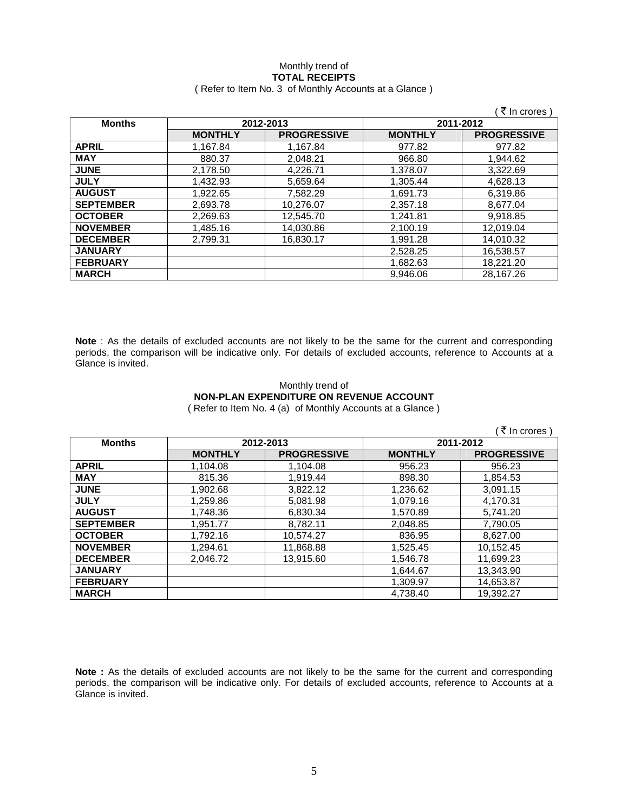### Monthly trend of **TOTAL RECEIPTS**  ( Refer to Item No. 3 of Monthly Accounts at a Glance )

|                  |                |                    |                | (₹ In crores)      |
|------------------|----------------|--------------------|----------------|--------------------|
| <b>Months</b>    |                | 2012-2013          |                | 2011-2012          |
|                  | <b>MONTHLY</b> | <b>PROGRESSIVE</b> | <b>MONTHLY</b> | <b>PROGRESSIVE</b> |
| <b>APRIL</b>     | 1.167.84       | 1.167.84           | 977.82         | 977.82             |
| <b>MAY</b>       | 880.37         | 2,048.21           | 966.80         | 1,944.62           |
| <b>JUNE</b>      | 2,178.50       | 4,226.71           | 1,378.07       | 3,322.69           |
| <b>JULY</b>      | 1,432.93       | 5,659.64           | 1,305.44       | 4,628.13           |
| <b>AUGUST</b>    | 1.922.65       | 7.582.29           | 1.691.73       | 6,319.86           |
| <b>SEPTEMBER</b> | 2,693.78       | 10,276.07          | 2,357.18       | 8,677.04           |
| <b>OCTOBER</b>   | 2,269.63       | 12,545.70          | 1.241.81       | 9,918.85           |
| <b>NOVEMBER</b>  | 1,485.16       | 14,030.86          | 2,100.19       | 12.019.04          |
| <b>DECEMBER</b>  | 2.799.31       | 16.830.17          | 1.991.28       | 14.010.32          |
| <b>JANUARY</b>   |                |                    | 2.528.25       | 16,538.57          |
| <b>FEBRUARY</b>  |                |                    | 1,682.63       | 18,221.20          |
| <b>MARCH</b>     |                |                    | 9.946.06       | 28.167.26          |

**Note** : As the details of excluded accounts are not likely to be the same for the current and corresponding periods, the comparison will be indicative only. For details of excluded accounts, reference to Accounts at a Glance is invited.

### Monthly trend of **NON-PLAN EXPENDITURE ON REVENUE ACCOUNT**  ( Refer to Item No. 4 (a) of Monthly Accounts at a Glance )

| ₹ In crores )    |                |                    |                |                    |  |
|------------------|----------------|--------------------|----------------|--------------------|--|
| <b>Months</b>    | 2012-2013      |                    | 2011-2012      |                    |  |
|                  | <b>MONTHLY</b> | <b>PROGRESSIVE</b> | <b>MONTHLY</b> | <b>PROGRESSIVE</b> |  |
| <b>APRIL</b>     | 1,104.08       | 1,104.08           | 956.23         | 956.23             |  |
| <b>MAY</b>       | 815.36         | 1.919.44           | 898.30         | 1.854.53           |  |
| <b>JUNE</b>      | 1.902.68       | 3.822.12           | 1,236.62       | 3,091.15           |  |
| <b>JULY</b>      | 1.259.86       | 5.081.98           | 1.079.16       | 4.170.31           |  |
| <b>AUGUST</b>    | 1,748.36       | 6,830.34           | 1.570.89       | 5.741.20           |  |
| <b>SEPTEMBER</b> | 1,951.77       | 8,782.11           | 2,048.85       | 7,790.05           |  |
| <b>OCTOBER</b>   | 1.792.16       | 10,574.27          | 836.95         | 8,627.00           |  |
| <b>NOVEMBER</b>  | 1,294.61       | 11,868.88          | 1,525.45       | 10,152.45          |  |
| <b>DECEMBER</b>  | 2.046.72       | 13,915.60          | 1,546.78       | 11,699.23          |  |
| <b>JANUARY</b>   |                |                    | 1,644.67       | 13,343.90          |  |
| <b>FEBRUARY</b>  |                |                    | 1,309.97       | 14,653.87          |  |
| <b>MARCH</b>     |                |                    | 4.738.40       | 19.392.27          |  |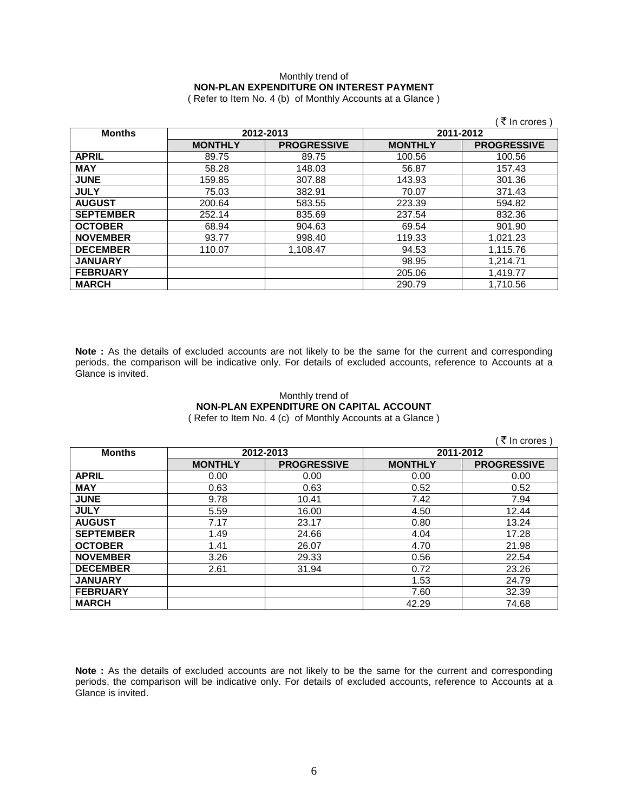# Monthly trend of **NON-PLAN EXPENDITURE ON INTEREST PAYMENT**

( Refer to Item No. 4 (b) of Monthly Accounts at a Glance )

|                  |                |                    |                | ₹ In crores )      |
|------------------|----------------|--------------------|----------------|--------------------|
| <b>Months</b>    |                | 2012-2013          | 2011-2012      |                    |
|                  | <b>MONTHLY</b> | <b>PROGRESSIVE</b> | <b>MONTHLY</b> | <b>PROGRESSIVE</b> |
| <b>APRIL</b>     | 89.75          | 89.75              | 100.56         | 100.56             |
| <b>MAY</b>       | 58.28          | 148.03             | 56.87          | 157.43             |
| <b>JUNE</b>      | 159.85         | 307.88             | 143.93         | 301.36             |
| <b>JULY</b>      | 75.03          | 382.91             | 70.07          | 371.43             |
| <b>AUGUST</b>    | 200.64         | 583.55             | 223.39         | 594.82             |
| <b>SEPTEMBER</b> | 252.14         | 835.69             | 237.54         | 832.36             |
| <b>OCTOBER</b>   | 68.94          | 904.63             | 69.54          | 901.90             |
| <b>NOVEMBER</b>  | 93.77          | 998.40             | 119.33         | 1,021.23           |
| <b>DECEMBER</b>  | 110.07         | 1,108.47           | 94.53          | 1,115.76           |
| <b>JANUARY</b>   |                |                    | 98.95          | 1.214.71           |
| <b>FEBRUARY</b>  |                |                    | 205.06         | 1,419.77           |
| <b>MARCH</b>     |                |                    | 290.79         | 1,710.56           |

**Note :** As the details of excluded accounts are not likely to be the same for the current and corresponding periods, the comparison will be indicative only. For details of excluded accounts, reference to Accounts at a Glance is invited.

## Monthly trend of **NON-PLAN EXPENDITURE ON CAPITAL ACCOUNT**

( Refer to Item No. 4 (c) of Monthly Accounts at a Glance )

|                  |                |                    |                | ₹ In crores)       |
|------------------|----------------|--------------------|----------------|--------------------|
| <b>Months</b>    |                | 2012-2013          | 2011-2012      |                    |
|                  | <b>MONTHLY</b> | <b>PROGRESSIVE</b> | <b>MONTHLY</b> | <b>PROGRESSIVE</b> |
| <b>APRIL</b>     | 0.00           | 0.00               | 0.00           | 0.00               |
| <b>MAY</b>       | 0.63           | 0.63               | 0.52           | 0.52               |
| <b>JUNE</b>      | 9.78           | 10.41              | 7.42           | 7.94               |
| <b>JULY</b>      | 5.59           | 16.00              | 4.50           | 12.44              |
| <b>AUGUST</b>    | 7.17           | 23.17              | 0.80           | 13.24              |
| <b>SEPTEMBER</b> | 1.49           | 24.66              | 4.04           | 17.28              |
| <b>OCTOBER</b>   | 1.41           | 26.07              | 4.70           | 21.98              |
| <b>NOVEMBER</b>  | 3.26           | 29.33              | 0.56           | 22.54              |
| <b>DECEMBER</b>  | 2.61           | 31.94              | 0.72           | 23.26              |
| <b>JANUARY</b>   |                |                    | 1.53           | 24.79              |
| <b>FEBRUARY</b>  |                |                    | 7.60           | 32.39              |
| <b>MARCH</b>     |                |                    | 42.29          | 74.68              |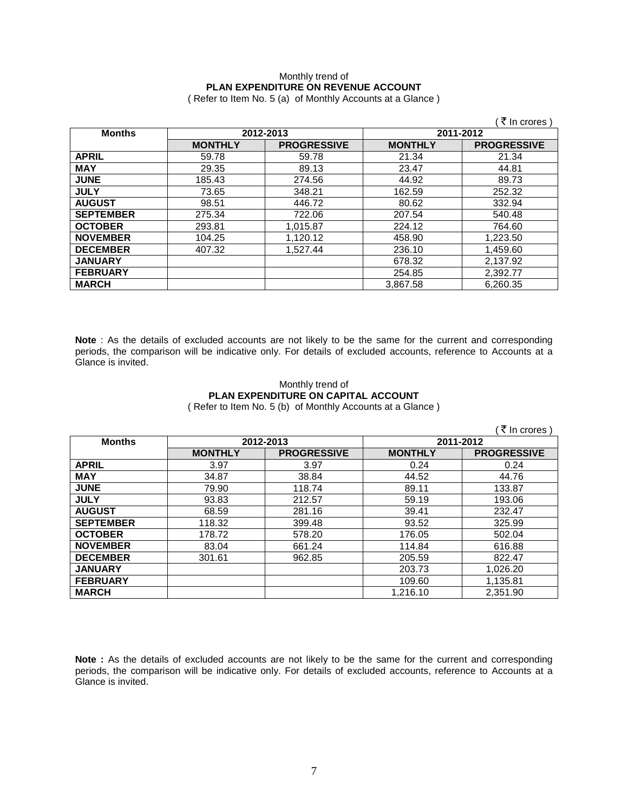## Monthly trend of **PLAN EXPENDITURE ON REVENUE ACCOUNT**

( Refer to Item No. 5 (a) of Monthly Accounts at a Glance )

|                  |                |                        |                | ₹ In crores )      |
|------------------|----------------|------------------------|----------------|--------------------|
| <b>Months</b>    |                | 2012-2013<br>2011-2012 |                |                    |
|                  | <b>MONTHLY</b> | <b>PROGRESSIVE</b>     | <b>MONTHLY</b> | <b>PROGRESSIVE</b> |
| <b>APRIL</b>     | 59.78          | 59.78                  | 21.34          | 21.34              |
| <b>MAY</b>       | 29.35          | 89.13                  | 23.47          | 44.81              |
| <b>JUNE</b>      | 185.43         | 274.56                 | 44.92          | 89.73              |
| <b>JULY</b>      | 73.65          | 348.21                 | 162.59         | 252.32             |
| <b>AUGUST</b>    | 98.51          | 446.72                 | 80.62          | 332.94             |
| <b>SEPTEMBER</b> | 275.34         | 722.06                 | 207.54         | 540.48             |
| <b>OCTOBER</b>   | 293.81         | 1,015.87               | 224.12         | 764.60             |
| <b>NOVEMBER</b>  | 104.25         | 1,120.12               | 458.90         | 1,223.50           |
| <b>DECEMBER</b>  | 407.32         | 1,527.44               | 236.10         | 1,459.60           |
| <b>JANUARY</b>   |                |                        | 678.32         | 2,137.92           |
| <b>FEBRUARY</b>  |                |                        | 254.85         | 2,392.77           |
| <b>MARCH</b>     |                |                        | 3.867.58       | 6,260.35           |

**Note** : As the details of excluded accounts are not likely to be the same for the current and corresponding periods, the comparison will be indicative only. For details of excluded accounts, reference to Accounts at a Glance is invited.

### Monthly trend of **PLAN EXPENDITURE ON CAPITAL ACCOUNT**  ( Refer to Item No. 5 (b) of Monthly Accounts at a Glance )

|                  |                |                    |                | ₹ In crores)       |
|------------------|----------------|--------------------|----------------|--------------------|
| <b>Months</b>    | 2012-2013      |                    | 2011-2012      |                    |
|                  | <b>MONTHLY</b> | <b>PROGRESSIVE</b> | <b>MONTHLY</b> | <b>PROGRESSIVE</b> |
| <b>APRIL</b>     | 3.97           | 3.97               | 0.24           | 0.24               |
| <b>MAY</b>       | 34.87          | 38.84              | 44.52          | 44.76              |
| <b>JUNE</b>      | 79.90          | 118.74             | 89.11          | 133.87             |
| <b>JULY</b>      | 93.83          | 212.57             | 59.19          | 193.06             |
| <b>AUGUST</b>    | 68.59          | 281.16             | 39.41          | 232.47             |
| <b>SEPTEMBER</b> | 118.32         | 399.48             | 93.52          | 325.99             |
| <b>OCTOBER</b>   | 178.72         | 578.20             | 176.05         | 502.04             |
| <b>NOVEMBER</b>  | 83.04          | 661.24             | 114.84         | 616.88             |
| <b>DECEMBER</b>  | 301.61         | 962.85             | 205.59         | 822.47             |
| <b>JANUARY</b>   |                |                    | 203.73         | 1,026.20           |
| <b>FEBRUARY</b>  |                |                    | 109.60         | 1,135.81           |
| <b>MARCH</b>     |                |                    | 1.216.10       | 2.351.90           |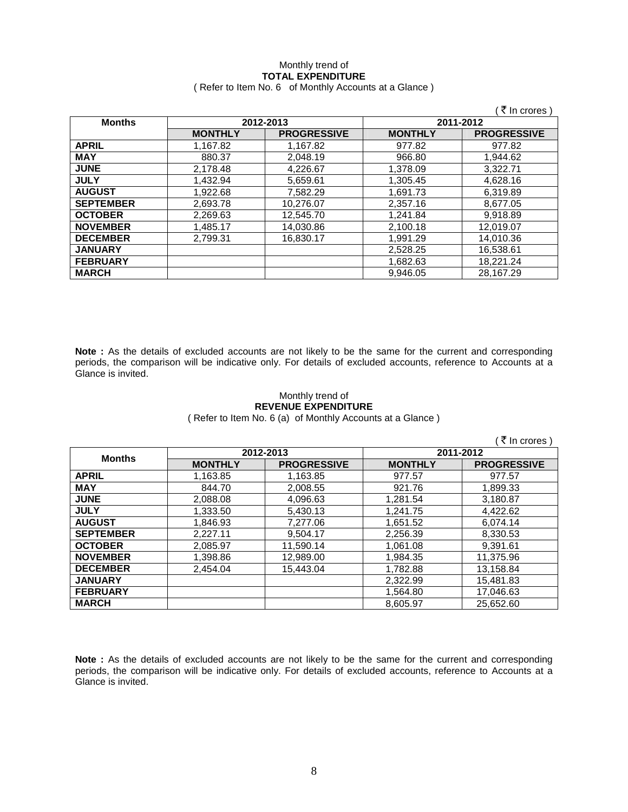### Monthly trend of **TOTAL EXPENDITURE**  ( Refer to Item No. 6 of Monthly Accounts at a Glance )

|                  |                |                    |                | ₹ In crores)       |
|------------------|----------------|--------------------|----------------|--------------------|
| <b>Months</b>    | 2012-2013      |                    | 2011-2012      |                    |
|                  | <b>MONTHLY</b> | <b>PROGRESSIVE</b> | <b>MONTHLY</b> | <b>PROGRESSIVE</b> |
| <b>APRIL</b>     | 1,167.82       | 1.167.82           | 977.82         | 977.82             |
| <b>MAY</b>       | 880.37         | 2,048.19           | 966.80         | 1,944.62           |
| <b>JUNE</b>      | 2,178.48       | 4,226.67           | 1,378.09       | 3.322.71           |
| <b>JULY</b>      | 1,432.94       | 5,659.61           | 1,305.45       | 4,628.16           |
| <b>AUGUST</b>    | 1,922.68       | 7,582.29           | 1,691.73       | 6,319.89           |
| <b>SEPTEMBER</b> | 2,693.78       | 10,276.07          | 2,357.16       | 8.677.05           |
| <b>OCTOBER</b>   | 2,269.63       | 12,545.70          | 1,241.84       | 9,918.89           |
| <b>NOVEMBER</b>  | 1,485.17       | 14,030.86          | 2,100.18       | 12,019.07          |
| <b>DECEMBER</b>  | 2.799.31       | 16,830.17          | 1.991.29       | 14.010.36          |
| <b>JANUARY</b>   |                |                    | 2.528.25       | 16.538.61          |
| <b>FEBRUARY</b>  |                |                    | 1,682.63       | 18,221.24          |
| <b>MARCH</b>     |                |                    | 9.946.05       | 28.167.29          |

**Note :** As the details of excluded accounts are not likely to be the same for the current and corresponding periods, the comparison will be indicative only. For details of excluded accounts, reference to Accounts at a Glance is invited.

### Monthly trend of **REVENUE EXPENDITURE**

( Refer to Item No. 6 (a) of Monthly Accounts at a Glance )

|                  |                |                    |                | ₹ In crores \      |
|------------------|----------------|--------------------|----------------|--------------------|
|                  | 2012-2013      |                    | 2011-2012      |                    |
| <b>Months</b>    | <b>MONTHLY</b> | <b>PROGRESSIVE</b> | <b>MONTHLY</b> | <b>PROGRESSIVE</b> |
| <b>APRIL</b>     | 1,163.85       | 1,163.85           | 977.57         | 977.57             |
| <b>MAY</b>       | 844.70         | 2,008.55           | 921.76         | 1,899.33           |
| <b>JUNE</b>      | 2,088.08       | 4,096.63           | 1,281.54       | 3,180.87           |
| <b>JULY</b>      | 1,333.50       | 5.430.13           | 1,241.75       | 4.422.62           |
| <b>AUGUST</b>    | 1.846.93       | 7.277.06           | 1.651.52       | 6.074.14           |
| <b>SEPTEMBER</b> | 2.227.11       | 9.504.17           | 2.256.39       | 8.330.53           |
| <b>OCTOBER</b>   | 2.085.97       | 11.590.14          | 1.061.08       | 9.391.61           |
| <b>NOVEMBER</b>  | 1,398.86       | 12,989.00          | 1,984.35       | 11,375.96          |
| <b>DECEMBER</b>  | 2.454.04       | 15.443.04          | 1.782.88       | 13.158.84          |
| <b>JANUARY</b>   |                |                    | 2.322.99       | 15,481.83          |
| <b>FEBRUARY</b>  |                |                    | 1,564.80       | 17,046.63          |
| <b>MARCH</b>     |                |                    | 8.605.97       | 25.652.60          |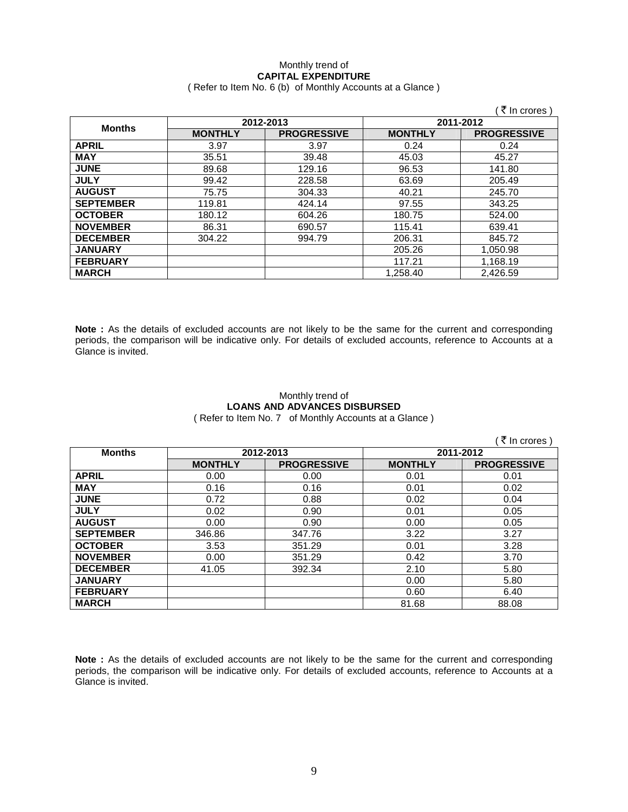### Monthly trend of **CAPITAL EXPENDITURE**  ( Refer to Item No. 6 (b) of Monthly Accounts at a Glance )

|                  |                |                    |                | ₹ In crores )      |
|------------------|----------------|--------------------|----------------|--------------------|
| <b>Months</b>    | 2012-2013      |                    | 2011-2012      |                    |
|                  | <b>MONTHLY</b> | <b>PROGRESSIVE</b> | <b>MONTHLY</b> | <b>PROGRESSIVE</b> |
| <b>APRIL</b>     | 3.97           | 3.97               | 0.24           | 0.24               |
| <b>MAY</b>       | 35.51          | 39.48              | 45.03          | 45.27              |
| <b>JUNE</b>      | 89.68          | 129.16             | 96.53          | 141.80             |
| <b>JULY</b>      | 99.42          | 228.58             | 63.69          | 205.49             |
| <b>AUGUST</b>    | 75.75          | 304.33             | 40.21          | 245.70             |
| <b>SEPTEMBER</b> | 119.81         | 424.14             | 97.55          | 343.25             |
| <b>OCTOBER</b>   | 180.12         | 604.26             | 180.75         | 524.00             |
| <b>NOVEMBER</b>  | 86.31          | 690.57             | 115.41         | 639.41             |
| <b>DECEMBER</b>  | 304.22         | 994.79             | 206.31         | 845.72             |
| <b>JANUARY</b>   |                |                    | 205.26         | 1,050.98           |
| <b>FEBRUARY</b>  |                |                    | 117.21         | 1,168.19           |
| <b>MARCH</b>     |                |                    | 1,258.40       | 2.426.59           |

**Note :** As the details of excluded accounts are not likely to be the same for the current and corresponding periods, the comparison will be indicative only. For details of excluded accounts, reference to Accounts at a Glance is invited.

## Monthly trend of **LOANS AND ADVANCES DISBURSED**

( Refer to Item No. 7 of Monthly Accounts at a Glance )

|                  |                |                    |                | ₹ In crores )      |
|------------------|----------------|--------------------|----------------|--------------------|
| <b>Months</b>    | 2012-2013      |                    | 2011-2012      |                    |
|                  | <b>MONTHLY</b> | <b>PROGRESSIVE</b> | <b>MONTHLY</b> | <b>PROGRESSIVE</b> |
| <b>APRIL</b>     | 0.00           | 0.00               | 0.01           | 0.01               |
| <b>MAY</b>       | 0.16           | 0.16               | 0.01           | 0.02               |
| <b>JUNE</b>      | 0.72           | 0.88               | 0.02           | 0.04               |
| <b>JULY</b>      | 0.02           | 0.90               | 0.01           | 0.05               |
| <b>AUGUST</b>    | 0.00           | 0.90               | 0.00           | 0.05               |
| <b>SEPTEMBER</b> | 346.86         | 347.76             | 3.22           | 3.27               |
| <b>OCTOBER</b>   | 3.53           | 351.29             | 0.01           | 3.28               |
| <b>NOVEMBER</b>  | 0.00           | 351.29             | 0.42           | 3.70               |
| <b>DECEMBER</b>  | 41.05          | 392.34             | 2.10           | 5.80               |
| <b>JANUARY</b>   |                |                    | 0.00           | 5.80               |
| <b>FEBRUARY</b>  |                |                    | 0.60           | 6.40               |
| <b>MARCH</b>     |                |                    | 81.68          | 88.08              |